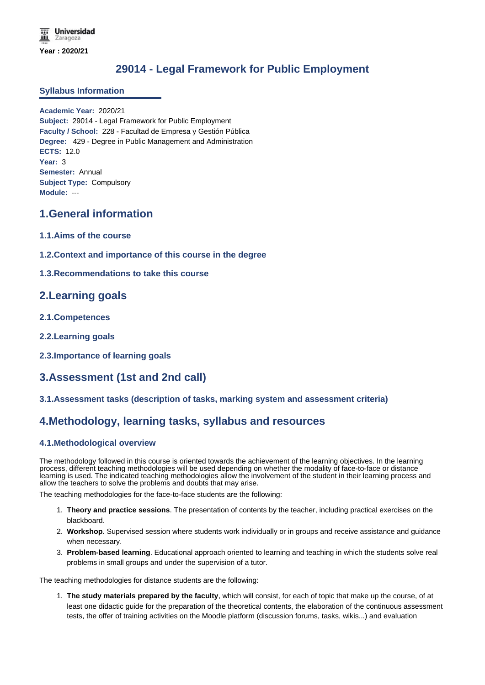# **29014 - Legal Framework for Public Employment**

### **Syllabus Information**

**Academic Year:** 2020/21 **Subject:** 29014 - Legal Framework for Public Employment **Faculty / School:** 228 - Facultad de Empresa y Gestión Pública **Degree:** 429 - Degree in Public Management and Administration **ECTS:** 12.0 **Year:** 3 **Semester:** Annual **Subject Type:** Compulsory **Module:** ---

# **1.General information**

- **1.1.Aims of the course**
- **1.2.Context and importance of this course in the degree**
- **1.3.Recommendations to take this course**

# **2.Learning goals**

- **2.1.Competences**
- **2.2.Learning goals**
- **2.3.Importance of learning goals**

# **3.Assessment (1st and 2nd call)**

**3.1.Assessment tasks (description of tasks, marking system and assessment criteria)**

# **4.Methodology, learning tasks, syllabus and resources**

### **4.1.Methodological overview**

The methodology followed in this course is oriented towards the achievement of the learning objectives. In the learning process, different teaching methodologies will be used depending on whether the modality of face-to-face or distance learning is used. The indicated teaching methodologies allow the involvement of the student in their learning process and allow the teachers to solve the problems and doubts that may arise.

The teaching methodologies for the face-to-face students are the following:

- 1. **Theory and practice sessions**. The presentation of contents by the teacher, including practical exercises on the blackboard.
- 2. **Workshop**. Supervised session where students work individually or in groups and receive assistance and guidance when necessary.
- 3. **Problem-based learning**. Educational approach oriented to learning and teaching in which the students solve real problems in small groups and under the supervision of a tutor.

The teaching methodologies for distance students are the following:

1. **The study materials prepared by the faculty**, which will consist, for each of topic that make up the course, of at least one didactic guide for the preparation of the theoretical contents, the elaboration of the continuous assessment tests, the offer of training activities on the Moodle platform (discussion forums, tasks, wikis...) and evaluation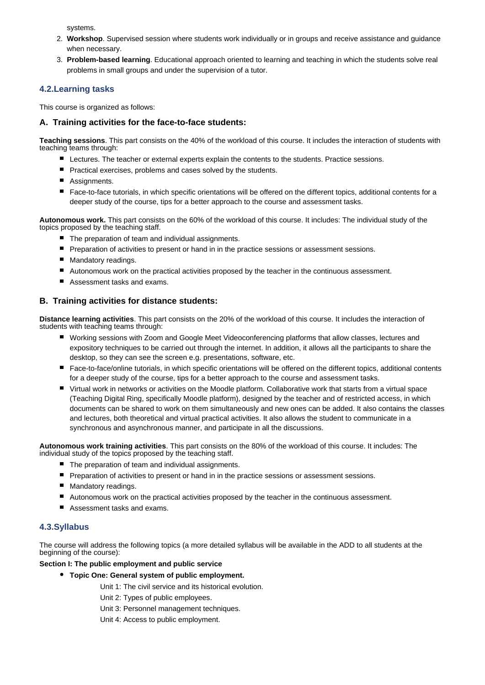systems.

- 2. **Workshop**. Supervised session where students work individually or in groups and receive assistance and guidance when necessary.
- 3. **Problem-based learning**. Educational approach oriented to learning and teaching in which the students solve real problems in small groups and under the supervision of a tutor.

### **4.2.Learning tasks**

This course is organized as follows:

### **A. Training activities for the face-to-face students:**

**Teaching sessions**. This part consists on the 40% of the workload of this course. It includes the interaction of students with teaching teams through:

- **E** Lectures. The teacher or external experts explain the contents to the students. Practice sessions.
- **P** Practical exercises, problems and cases solved by the students.
- Assignments.
- Face-to-face tutorials, in which specific orientations will be offered on the different topics, additional contents for a deeper study of the course, tips for a better approach to the course and assessment tasks.

**Autonomous work.** This part consists on the 60% of the workload of this course. It includes: The individual study of the topics proposed by the teaching staff.

- The preparation of team and individual assignments.
- **Peraration of activities to present or hand in in the practice sessions or assessment sessions.**
- **Mandatory readings.**
- Autonomous work on the practical activities proposed by the teacher in the continuous assessment.
- Assessment tasks and exams.

### **B. Training activities for distance students:**

**Distance learning activities**. This part consists on the 20% of the workload of this course. It includes the interaction of students with teaching teams through:

- Working sessions with Zoom and Google Meet Videoconferencing platforms that allow classes, lectures and expository techniques to be carried out through the internet. In addition, it allows all the participants to share the desktop, so they can see the screen e.g. presentations, software, etc.
- Face-to-face/online tutorials, in which specific orientations will be offered on the different topics, additional contents for a deeper study of the course, tips for a better approach to the course and assessment tasks.
- Virtual work in networks or activities on the Moodle platform. Collaborative work that starts from a virtual space (Teaching Digital Ring, specifically Moodle platform), designed by the teacher and of restricted access, in which documents can be shared to work on them simultaneously and new ones can be added. It also contains the classes and lectures, both theoretical and virtual practical activities. It also allows the student to communicate in a synchronous and asynchronous manner, and participate in all the discussions.

**Autonomous work training activities**. This part consists on the 80% of the workload of this course. It includes: The individual study of the topics proposed by the teaching staff.

- The preparation of team and individual assignments.
- **Preparation of activities to present or hand in in the practice sessions or assessment sessions.**
- Mandatory readings.
- Autonomous work on the practical activities proposed by the teacher in the continuous assessment.
- Assessment tasks and exams.

### **4.3.Syllabus**

The course will address the following topics (a more detailed syllabus will be available in the ADD to all students at the beginning of the course):

#### **Section I: The public employment and public service**

**Topic One: General system of public employment.**

Unit 1: The civil service and its historical evolution.

Unit 2: Types of public employees.

Unit 3: Personnel management techniques.

Unit 4: Access to public employment.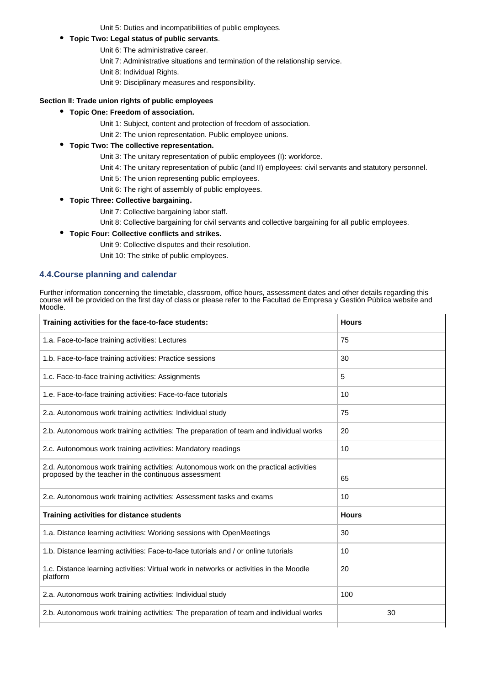Unit 5: Duties and incompatibilities of public employees.

#### **Topic Two: Legal status of public servants**.

- Unit 6: The administrative career.
	- Unit 7: Administrative situations and termination of the relationship service.
	- Unit 8: Individual Rights.
	- Unit 9: Disciplinary measures and responsibility.

#### **Section II: Trade union rights of public employees**

- **Topic One: Freedom of association.**
	- Unit 1: Subject, content and protection of freedom of association.
	- Unit 2: The union representation. Public employee unions.

#### **Topic Two: The collective representation.**

- Unit 3: The unitary representation of public employees (I): workforce.
- Unit 4: The unitary representation of public (and II) employees: civil servants and statutory personnel.
- Unit 5: The union representing public employees.
- Unit 6: The right of assembly of public employees.
- **Topic Three: Collective bargaining.**
	- Unit 7: Collective bargaining labor staff.
	- Unit 8: Collective bargaining for civil servants and collective bargaining for all public employees.

#### **Topic Four: Collective conflicts and strikes.**

Unit 9: Collective disputes and their resolution. Unit 10: The strike of public employees.

## **4.4.Course planning and calendar**

Further information concerning the timetable, classroom, office hours, assessment dates and other details regarding this course will be provided on the first day of class or please refer to the Facultad de Empresa y Gestión Pública website and Moodle.

| Training activities for the face-to-face students:                                                                                            | <b>Hours</b> |
|-----------------------------------------------------------------------------------------------------------------------------------------------|--------------|
| 1.a. Face-to-face training activities: Lectures                                                                                               | 75           |
| 1.b. Face-to-face training activities: Practice sessions                                                                                      | 30           |
| 1.c. Face-to-face training activities: Assignments                                                                                            | 5            |
| 1.e. Face-to-face training activities: Face-to-face tutorials                                                                                 | 10           |
| 2.a. Autonomous work training activities: Individual study                                                                                    | 75           |
| 2.b. Autonomous work training activities: The preparation of team and individual works                                                        | 20           |
| 2.c. Autonomous work training activities: Mandatory readings                                                                                  | 10           |
| 2.d. Autonomous work training activities: Autonomous work on the practical activities<br>proposed by the teacher in the continuous assessment | 65           |
| 2.e. Autonomous work training activities: Assessment tasks and exams                                                                          | 10           |
| Training activities for distance students                                                                                                     | <b>Hours</b> |
| 1.a. Distance learning activities: Working sessions with OpenMeetings                                                                         | 30           |
| 1.b. Distance learning activities: Face-to-face tutorials and / or online tutorials                                                           | 10           |
| 1.c. Distance learning activities: Virtual work in networks or activities in the Moodle<br>platform                                           | 20           |
| 2.a. Autonomous work training activities: Individual study                                                                                    | 100          |
| 2.b. Autonomous work training activities: The preparation of team and individual works                                                        | 30           |